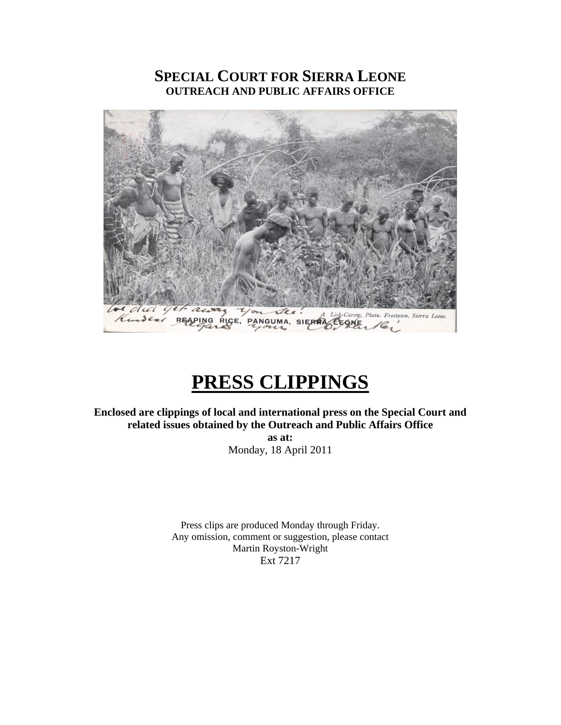# **SPECIAL COURT FOR SIERRA LEONE OUTREACH AND PUBLIC AFFAIRS OFFICE**



# **PRESS CLIPPINGS**

**Enclosed are clippings of local and international press on the Special Court and related issues obtained by the Outreach and Public Affairs Office** 

> **as at:**  Monday, 18 April 2011

Press clips are produced Monday through Friday. Any omission, comment or suggestion, please contact Martin Royston-Wright Ext 7217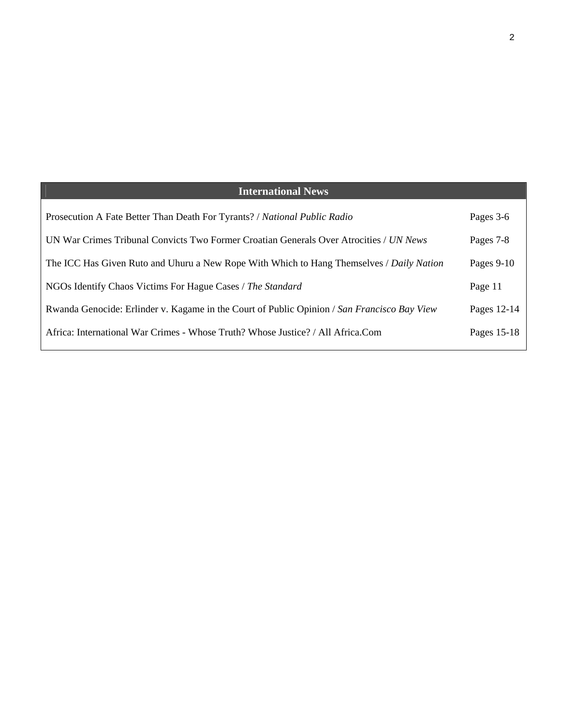| <b>International News</b>                                                                   |              |
|---------------------------------------------------------------------------------------------|--------------|
| Prosecution A Fate Better Than Death For Tyrants? / National Public Radio                   | Pages 3-6    |
| UN War Crimes Tribunal Convicts Two Former Croatian Generals Over Atrocities / UN News      | Pages 7-8    |
| The ICC Has Given Ruto and Uhuru a New Rope With Which to Hang Themselves / Daily Nation    | Pages $9-10$ |
| NGOs Identify Chaos Victims For Hague Cases / The Standard                                  | Page 11      |
| Rwanda Genocide: Erlinder v. Kagame in the Court of Public Opinion / San Francisco Bay View | Pages 12-14  |
| Africa: International War Crimes - Whose Truth? Whose Justice? / All Africa.Com             | Pages 15-18  |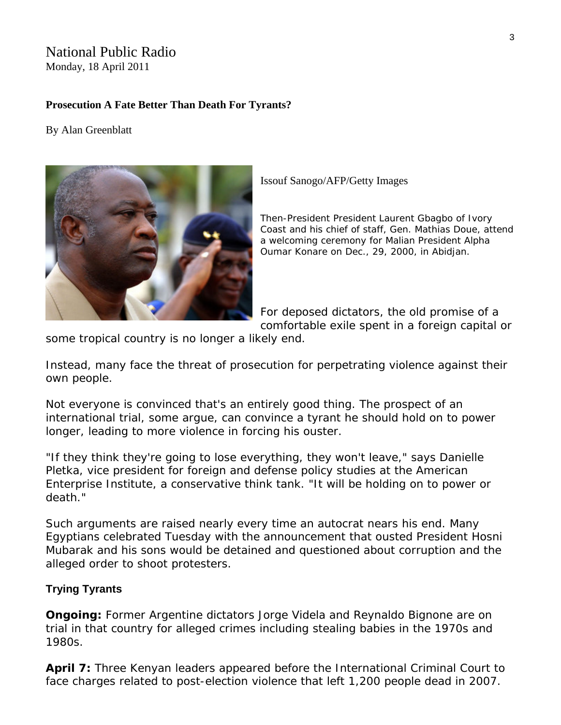# National Public Radio

Monday, 18 April 2011

#### **Prosecution A Fate Better Than Death For Tyrants?**

#### By Alan Greenblatt



Issouf Sanogo/AFP/Getty Images

*Then-President President Laurent Gbagbo of Ivory Coast and his chief of staff, Gen. Mathias Doue, attend a welcoming ceremony for Malian President Alpha Oumar Konare on Dec., 29, 2000, in Abidjan.* 

For deposed dictators, the old promise of a comfortable exile spent in a foreign capital or

some tropical country is no longer a likely end.

Instead, many face the threat of prosecution for perpetrating violence against their own people.

Not everyone is convinced that's an entirely good thing. The prospect of an international trial, some argue, can convince a tyrant he should hold on to power longer, leading to more violence in forcing his ouster.

"If they think they're going to lose everything, they won't leave," says Danielle Pletka, vice president for foreign and defense policy studies at the American Enterprise Institute, a conservative think tank. "It will be holding on to power or death."

Such arguments are raised nearly every time an autocrat nears his end. Many Egyptians celebrated Tuesday with the announcement that ousted President Hosni Mubarak and his sons would be detained and questioned about corruption and the alleged order to shoot protesters.

#### **Trying Tyrants**

**Ongoing:** Former Argentine dictators Jorge Videla and Reynaldo Bignone are on trial in that country for alleged crimes including stealing babies in the 1970s and 1980s.

**April 7:** Three Kenyan leaders appeared before the International Criminal Court to face charges related to post-election violence that left 1,200 people dead in 2007.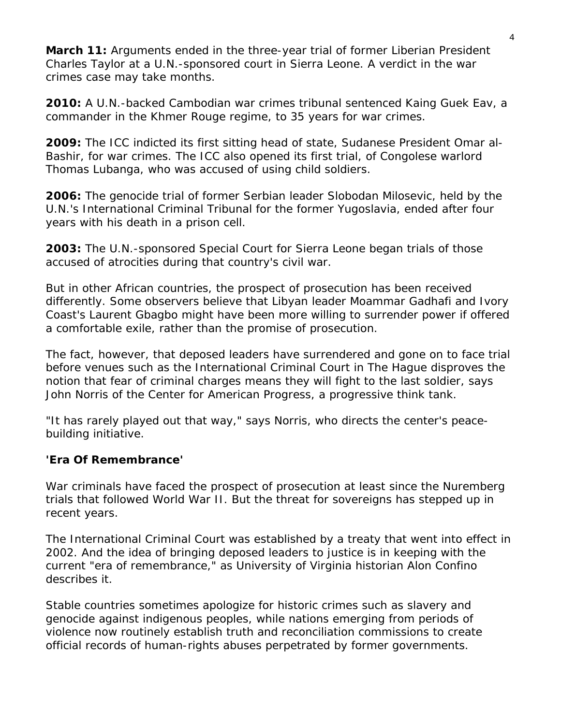**March 11:** Arguments ended in the three-year trial of former Liberian President Charles Taylor at a U.N.-sponsored court in Sierra Leone. A verdict in the war crimes case may take months.

**2010:** A U.N.-backed Cambodian war crimes tribunal sentenced Kaing Guek Eav, a commander in the Khmer Rouge regime, to 35 years for war crimes.

**2009:** The ICC indicted its first sitting head of state, Sudanese President Omar al-Bashir, for war crimes. The ICC also opened its first trial, of Congolese warlord Thomas Lubanga, who was accused of using child soldiers.

**2006:** The genocide trial of former Serbian leader Slobodan Milosevic, held by the U.N.'s International Criminal Tribunal for the former Yugoslavia, ended after four years with his death in a prison cell.

**2003:** The U.N.-sponsored Special Court for Sierra Leone began trials of those accused of atrocities during that country's civil war.

But in other African countries, the prospect of prosecution has been received differently. Some observers believe that Libyan leader Moammar Gadhafi and Ivory Coast's Laurent Gbagbo might have been more willing to surrender power if offered a comfortable exile, rather than the promise of prosecution.

The fact, however, that deposed leaders have surrendered and gone on to face trial before venues such as the International Criminal Court in The Hague disproves the notion that fear of criminal charges means they will fight to the last soldier, says John Norris of the Center for American Progress, a progressive think tank.

"It has rarely played out that way," says Norris, who directs the center's peacebuilding initiative.

# **'Era Of Remembrance'**

War criminals have faced the prospect of prosecution at least since the Nuremberg trials that followed World War II. But the threat for sovereigns has stepped up in recent years.

The International Criminal Court was established by a treaty that went into effect in 2002. And the idea of bringing deposed leaders to justice is in keeping with the current "era of remembrance," as University of Virginia historian Alon Confino describes it.

Stable countries sometimes apologize for historic crimes such as slavery and genocide against indigenous peoples, while nations emerging from periods of violence now routinely establish truth and reconciliation commissions to create official records of human-rights abuses perpetrated by former governments.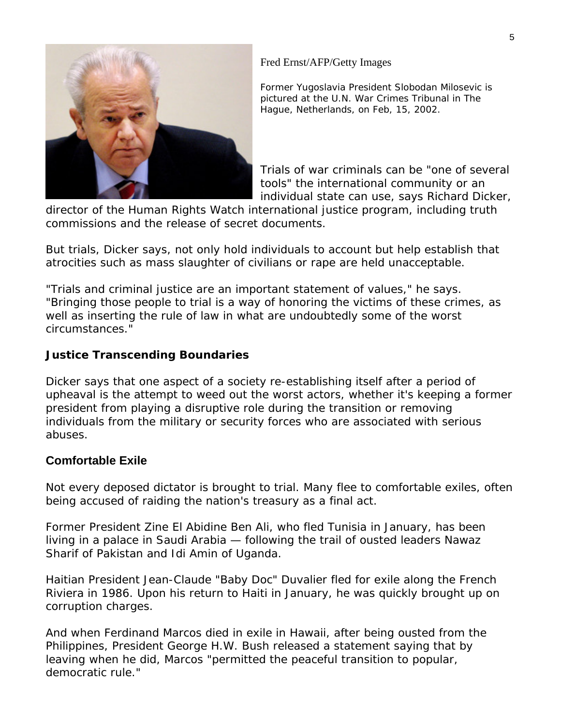

## Fred Ernst/AFP/Getty Images

*Former Yugoslavia President Slobodan Milosevic is pictured at the U.N. War Crimes Tribunal in The Hague, Netherlands, on Feb, 15, 2002.* 

Trials of war criminals can be "one of several tools" the international community or an individual state can use, says Richard Dicker,

director of the Human Rights Watch international justice program, including truth commissions and the release of secret documents.

But trials, Dicker says, not only hold individuals to account but help establish that atrocities such as mass slaughter of civilians or rape are held unacceptable.

"Trials and criminal justice are an important statement of values," he says. "Bringing those people to trial is a way of honoring the victims of these crimes, as well as inserting the rule of law in what are undoubtedly some of the worst circumstances."

## **Justice Transcending Boundaries**

Dicker says that one aspect of a society re-establishing itself after a period of upheaval is the attempt to weed out the worst actors, whether it's keeping a former president from playing a disruptive role during the transition or removing individuals from the military or security forces who are associated with serious abuses.

# **Comfortable Exile**

Not every deposed dictator is brought to trial. Many flee to comfortable exiles, often being accused of raiding the nation's treasury as a final act.

Former President Zine El Abidine Ben Ali, who fled Tunisia in January, has been living in a palace in Saudi Arabia — following the trail of ousted leaders Nawaz Sharif of Pakistan and Idi Amin of Uganda.

Haitian President Jean-Claude "Baby Doc" Duvalier fled for exile along the French Riviera in 1986. Upon his return to Haiti in January, he was quickly brought up on corruption charges.

And when Ferdinand Marcos died in exile in Hawaii, after being ousted from the Philippines, President George H.W. Bush released a statement saying that by leaving when he did, Marcos "permitted the peaceful transition to popular, democratic rule."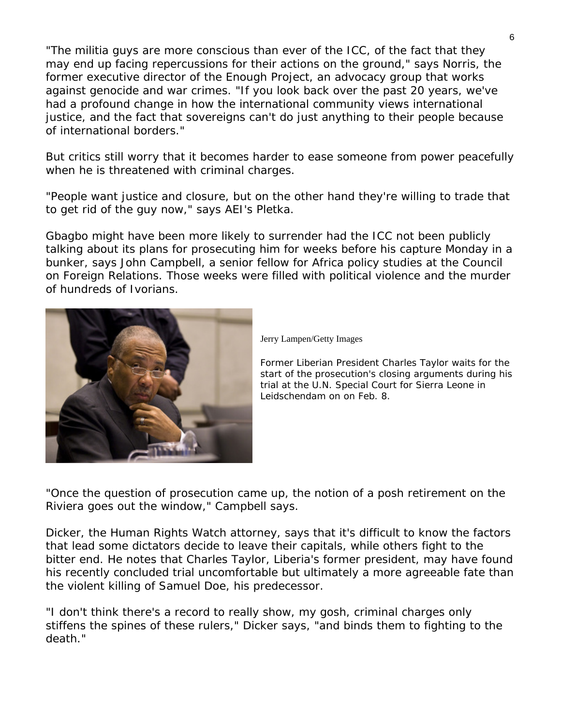"The militia guys are more conscious than ever of the ICC, of the fact that they may end up facing repercussions for their actions on the ground," says Norris, the former executive director of the Enough Project, an advocacy group that works against genocide and war crimes. "If you look back over the past 20 years, we've had a profound change in how the international community views international justice, and the fact that sovereigns can't do just anything to their people because of international borders."

But critics still worry that it becomes harder to ease someone from power peacefully when he is threatened with criminal charges.

"People want justice and closure, but on the other hand they're willing to trade that to get rid of the guy now," says AEI's Pletka.

Gbagbo might have been more likely to surrender had the ICC not been publicly talking about its plans for prosecuting him for weeks before his capture Monday in a bunker, says John Campbell, a senior fellow for Africa policy studies at the Council on Foreign Relations. Those weeks were filled with political violence and the murder of hundreds of Ivorians.



Jerry Lampen/Getty Images

*Former Liberian President Charles Taylor waits for the start of the prosecution's closing arguments during his trial at the U.N. Special Court for Sierra Leone in Leidschendam on on Feb. 8.* 

"Once the question of prosecution came up, the notion of a posh retirement on the Riviera goes out the window," Campbell says.

Dicker, the Human Rights Watch attorney, says that it's difficult to know the factors that lead some dictators decide to leave their capitals, while others fight to the bitter end. He notes that Charles Taylor, Liberia's former president, may have found his recently concluded trial uncomfortable but ultimately a more agreeable fate than the violent killing of Samuel Doe, his predecessor.

"I don't think there's a record to really show, my gosh, criminal charges only stiffens the spines of these rulers," Dicker says, "and binds them to fighting to the death."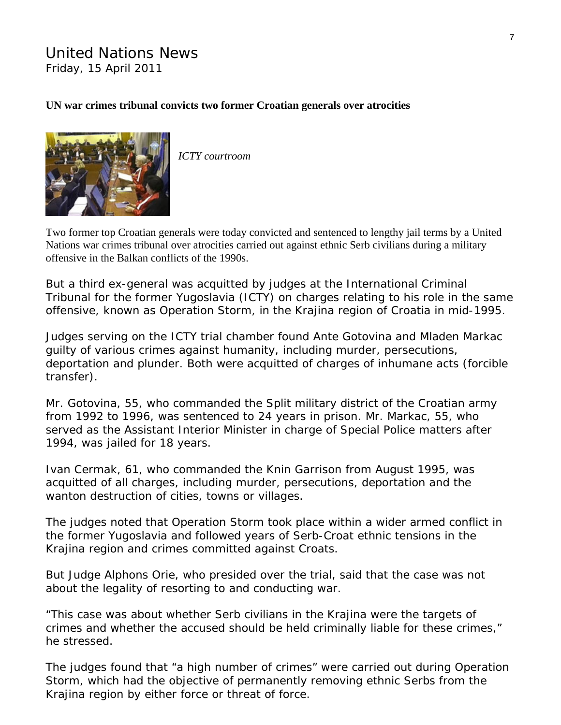# United Nations News Friday, 15 April 2011

## **UN war crimes tribunal convicts two former Croatian generals over atrocities**



*ICTY courtroom* 

Two former top Croatian generals were today [convicted](http://www.icty.org/sid/10633) and sentenced to lengthy jail terms by a United Nations war crimes tribunal over atrocities carried out against ethnic Serb civilians during a military offensive in the Balkan conflicts of the 1990s.

But a third ex-general was acquitted by judges at the International Criminal Tribunal for the former Yugoslavia (ICTY) on charges relating to his role in the same offensive, known as Operation Storm, in the Krajina region of Croatia in mid-1995.

Judges serving on the ICTY trial chamber found Ante Gotovina and Mladen Markac guilty of various crimes against humanity, including murder, persecutions, deportation and plunder. Both were acquitted of charges of inhumane acts (forcible transfer).

Mr. Gotovina, 55, who commanded the Split military district of the Croatian army from 1992 to 1996, was sentenced to 24 years in prison. Mr. Markac, 55, who served as the Assistant Interior Minister in charge of Special Police matters after 1994, was jailed for 18 years.

Ivan Cermak, 61, who commanded the Knin Garrison from August 1995, was acquitted of all charges, including murder, persecutions, deportation and the wanton destruction of cities, towns or villages.

The judges noted that Operation Storm took place within a wider armed conflict in the former Yugoslavia and followed years of Serb-Croat ethnic tensions in the Krajina region and crimes committed against Croats.

But Judge Alphons Orie, who presided over the trial, said that the case was not about the legality of resorting to and conducting war.

"This case was about whether Serb civilians in the Krajina were the targets of crimes and whether the accused should be held criminally liable for these crimes," he stressed.

The judges found that "a high number of crimes" were carried out during Operation Storm, which had the objective of permanently removing ethnic Serbs from the Krajina region by either force or threat of force.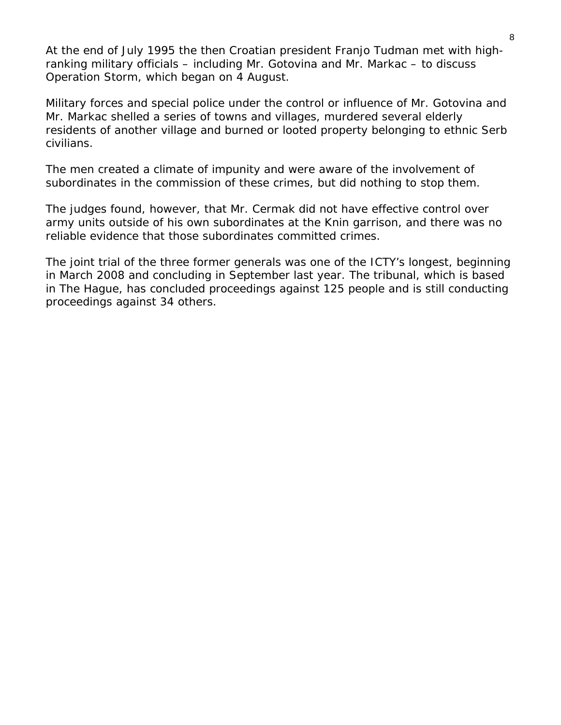At the end of July 1995 the then Croatian president Franjo Tudman met with highranking military officials – including Mr. Gotovina and Mr. Markac – to discuss Operation Storm, which began on 4 August.

Military forces and special police under the control or influence of Mr. Gotovina and Mr. Markac shelled a series of towns and villages, murdered several elderly residents of another village and burned or looted property belonging to ethnic Serb civilians.

The men created a climate of impunity and were aware of the involvement of subordinates in the commission of these crimes, but did nothing to stop them.

The judges found, however, that Mr. Cermak did not have effective control over army units outside of his own subordinates at the Knin garrison, and there was no reliable evidence that those subordinates committed crimes.

The joint trial of the three former generals was one of the ICTY's longest, beginning in March 2008 and concluding in September last year. The tribunal, which is based in The Hague, has concluded proceedings against 125 people and is still conducting proceedings against 34 others.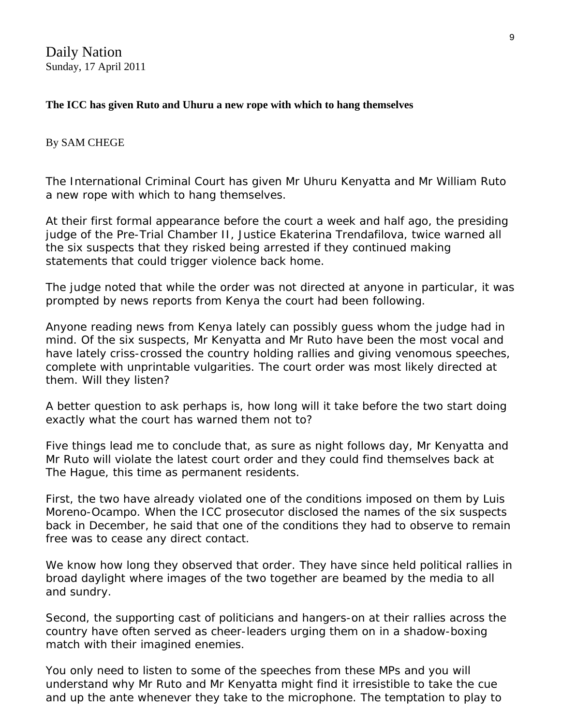Daily Nation Sunday, 17 April 2011

## **The ICC has given Ruto and Uhuru a new rope with which to hang themselves**

#### By SAM CHEGE

The International Criminal Court has given Mr Uhuru Kenyatta and Mr William Ruto a new rope with which to hang themselves.

At their first formal appearance before the court a week and half ago, the presiding judge of the Pre-Trial Chamber II, Justice Ekaterina Trendafilova, twice warned all the six suspects that they risked being arrested if they continued making statements that could trigger violence back home.

The judge noted that while the order was not directed at anyone in particular, it was prompted by news reports from Kenya the court had been following.

Anyone reading news from Kenya lately can possibly guess whom the judge had in mind. Of the six suspects, Mr Kenyatta and Mr Ruto have been the most vocal and have lately criss-crossed the country holding rallies and giving venomous speeches, complete with unprintable vulgarities. The court order was most likely directed at them. Will they listen?

A better question to ask perhaps is, how long will it take before the two start doing exactly what the court has warned them not to?

Five things lead me to conclude that, as sure as night follows day, Mr Kenyatta and Mr Ruto will violate the latest court order and they could find themselves back at The Hague, this time as permanent residents.

First, the two have already violated one of the conditions imposed on them by Luis Moreno-Ocampo. When the ICC prosecutor disclosed the names of the six suspects back in December, he said that one of the conditions they had to observe to remain free was to cease any direct contact.

We know how long they observed that order. They have since held political rallies in broad daylight where images of the two together are beamed by the media to all and sundry.

Second, the supporting cast of politicians and hangers-on at their rallies across the country have often served as cheer-leaders urging them on in a shadow-boxing match with their imagined enemies.

You only need to listen to some of the speeches from these MPs and you will understand why Mr Ruto and Mr Kenyatta might find it irresistible to take the cue and up the ante whenever they take to the microphone. The temptation to play to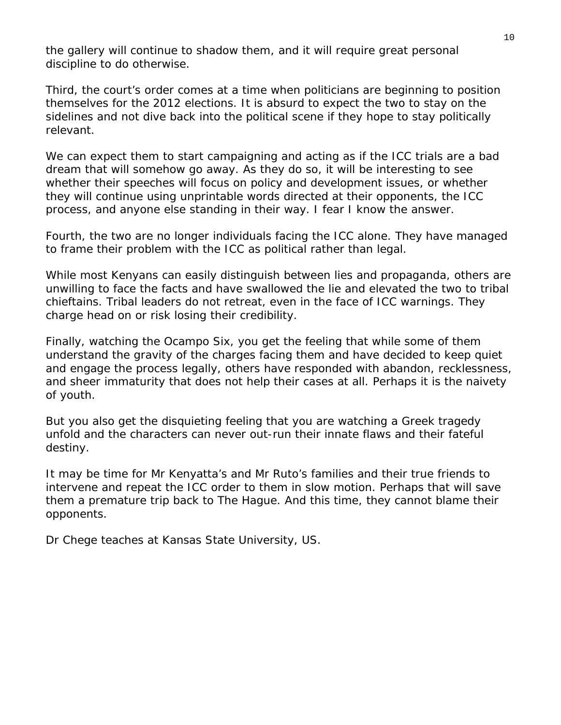the gallery will continue to shadow them, and it will require great personal discipline to do otherwise.

Third, the court's order comes at a time when politicians are beginning to position themselves for the 2012 elections. It is absurd to expect the two to stay on the sidelines and not dive back into the political scene if they hope to stay politically relevant.

We can expect them to start campaigning and acting as if the ICC trials are a bad dream that will somehow go away. As they do so, it will be interesting to see whether their speeches will focus on policy and development issues, or whether they will continue using unprintable words directed at their opponents, the ICC process, and anyone else standing in their way. I fear I know the answer.

Fourth, the two are no longer individuals facing the ICC alone. They have managed to frame their problem with the ICC as political rather than legal.

While most Kenyans can easily distinguish between lies and propaganda, others are unwilling to face the facts and have swallowed the lie and elevated the two to tribal chieftains. Tribal leaders do not retreat, even in the face of ICC warnings. They charge head on or risk losing their credibility.

Finally, watching the Ocampo Six, you get the feeling that while some of them understand the gravity of the charges facing them and have decided to keep quiet and engage the process legally, others have responded with abandon, recklessness, and sheer immaturity that does not help their cases at all. Perhaps it is the naivety of youth.

But you also get the disquieting feeling that you are watching a Greek tragedy unfold and the characters can never out-run their innate flaws and their fateful destiny.

It may be time for Mr Kenyatta's and Mr Ruto's families and their true friends to intervene and repeat the ICC order to them in slow motion. Perhaps that will save them a premature trip back to The Hague. And this time, they cannot blame their opponents.

*Dr Chege teaches at Kansas State University, US.*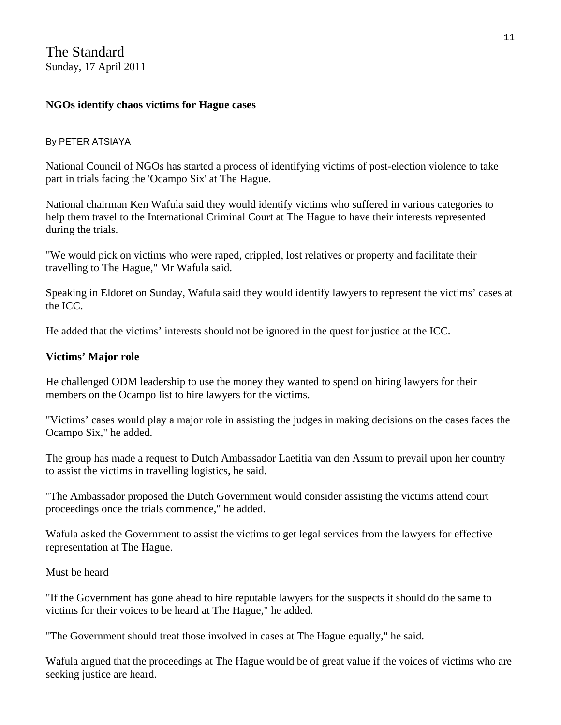## **NGOs identify chaos victims for Hague cases**

## By PETER ATSIAYA

National Council of NGOs has started a process of identifying victims of post-election violence to take part in trials facing the 'Ocampo Six' at The Hague.

National chairman Ken Wafula said they would identify victims who suffered in various categories to help them travel to the International Criminal Court at The Hague to have their interests represented during the trials.

"We would pick on victims who were raped, crippled, lost relatives or property and facilitate their travelling to The Hague," Mr Wafula said.

Speaking in Eldoret on Sunday, Wafula said they would identify lawyers to represent the victims' cases at the ICC.

He added that the victims' interests should not be ignored in the quest for justice at the ICC.

## **Victims' Major role**

He challenged ODM leadership to use the money they wanted to spend on hiring lawyers for their members on the Ocampo list to hire lawyers for the victims.

"Victims' cases would play a major role in assisting the judges in making decisions on the cases faces the Ocampo Six," he added.

The group has made a request to Dutch Ambassador Laetitia van den Assum to prevail upon her country to assist the victims in travelling logistics, he said.

"The Ambassador proposed the Dutch Government would consider assisting the victims attend court proceedings once the trials commence," he added.

Wafula asked the Government to assist the victims to get legal services from the lawyers for effective representation at The Hague.

#### Must be heard

"If the Government has gone ahead to hire reputable lawyers for the suspects it should do the same to victims for their voices to be heard at The Hague," he added.

"The Government should treat those involved in cases at The Hague equally," he said.

Wafula argued that the proceedings at The Hague would be of great value if the voices of victims who are seeking justice are heard.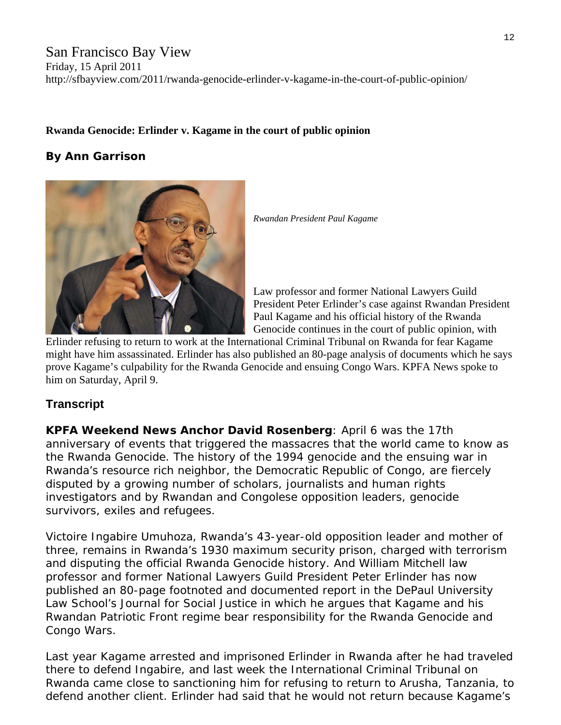# San Francisco Bay View Friday, 15 April 2011 http://sfbayview.com/2011/rwanda-genocide-erlinder-v-kagame-in-the-court-of-public-opinion/

## **[Rwanda Genocide: Erlinder v. Kagame in the court of public opinion](http://sfbayview.com/2011/rwanda-genocide-erlinder-v-kagame-in-the-court-of-public-opinion/)**

# **By Ann Garrison**



*Rwandan President Paul Kagame* 

Law professor and former National Lawyers Guild President Peter Erlinder's case against Rwandan President Paul Kagame and his official history of the Rwanda Genocide continues in the court of public opinion, with

[Erlinder refusing to return to work at the Intern](http://sfbayview.com/wp-content/uploads/2011/04/Paul-Kagame-03111.jpg)ational Criminal Tribunal on Rwanda for fear Kagame might have him assassinated. Erlinder has also published an 80-page analysis of documents which he says prove Kagame's culpability for the Rwanda Genocide and ensuing Congo Wars. KPFA News spoke to him on Saturday, April 9.

# **Transcript**

**KPFA Weekend News Anchor David Rosenberg**: April 6 was the 17th anniversary of events that triggered the massacres that the world came to know as the Rwanda Genocide. The history of the 1994 genocide and the ensuing war in Rwanda's resource rich neighbor, the Democratic Republic of Congo, are fiercely disputed by a growing number of scholars, journalists and human rights investigators and by Rwandan and Congolese opposition leaders, genocide survivors, exiles and refugees.

Victoire Ingabire Umuhoza, Rwanda's 43-year-old opposition leader and mother of three, remains in Rwanda's 1930 maximum security prison, charged with terrorism and disputing the official Rwanda Genocide history. And William Mitchell law professor and former National Lawyers Guild President Peter Erlinder has now published an 80-page footnoted and documented report in the DePaul University Law School's Journal for Social Justice in which he argues that Kagame and his Rwandan Patriotic Front regime bear responsibility for the Rwanda Genocide and Congo Wars.

Last year Kagame arrested and imprisoned Erlinder in Rwanda after he had traveled there to defend Ingabire, and last week the International Criminal Tribunal on Rwanda came close to sanctioning him for refusing to return to Arusha, Tanzania, to defend another client. Erlinder had said that he would not return because Kagame's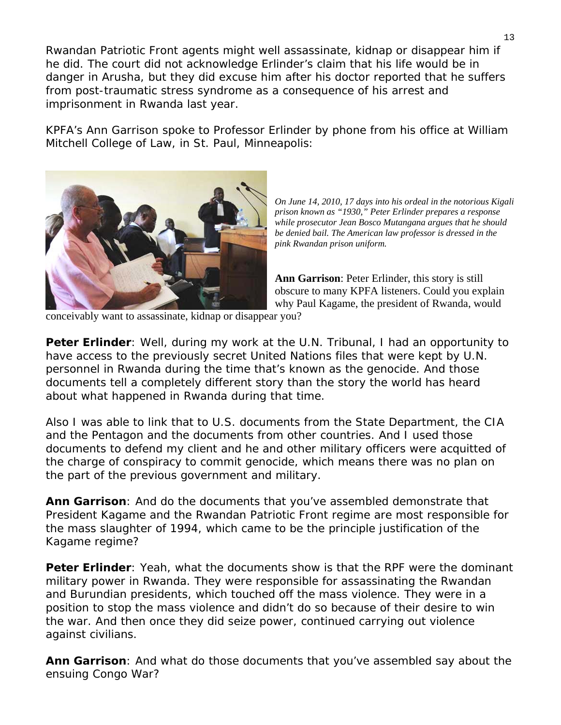Rwandan Patriotic Front agents might well assassinate, kidnap or disappear him if he did. The court did not acknowledge Erlinder's claim that his life would be in danger in Arusha, but they did excuse him after his doctor reported that he suffers from post-traumatic stress syndrome as a consequence of his arrest and imprisonment in Rwanda last year.

KPFA's Ann Garrison spoke to Professor Erlinder by phone from his office at William Mitchell College of Law, in St. Paul, Minneapolis:



*On June 14, 2010, 17 days into his ordeal in the notorious Kigali prison known as "1930," Peter Erlinder prepares a response while prosecutor Jean Bosco Mutangana argues that he should be denied bail. The American law professor is dressed in the pink Rwandan prison uniform.* 

**Ann Garrison**: Peter Erlinder, this story is still obscure to many KPFA listeners. Could you explain why Paul Kagame, the president of Rwanda, would

[conceivably want to assassinate, kidnap or disappea](http://sfbayview.com/wp-content/uploads/2011/04/Peter-Erlinder-prosecutor-Jean-Bosco-Mutangana-in-Kigali-courtroom-061410.jpg) r you?

**Peter Erlinder**: Well, during my work at the U.N. Tribunal, I had an opportunity to have access to the previously secret United Nations files that were kept by U.N. personnel in Rwanda during the time that's known as the genocide. And those documents tell a completely different story than the story the world has heard about what happened in Rwanda during that time.

Also I was able to link that to U.S. documents from the State Department, the CIA documents to defend my client and he and other military officers were acquitted of and the Pentagon and the documents from other countries. And I used those the charge of conspiracy to commit genocide, which means there was no plan on the part of the previous government and military.

**Ann Garrison**: And do the documents that you've assembled demonstrate that President Kagame and the Rwandan Patriotic Front regime are most responsible for the mass slaughter of 1994, which came to be the principle justification of the Kagame regime?

**Peter Erlinder**: Yeah, what the documents show is that the RPF were the dominant military power in Rwanda. They were responsible for assassinating the Rwandan and Burundian presidents, which touched off the mass violence. They were in a position to stop the mass violence and didn't do so because of their desire to win the war. And then once they did seize power, continued carrying out violence against civilians.

**Ann Garrison**: And what do those documents that you've assembled say about the ensuing Congo War?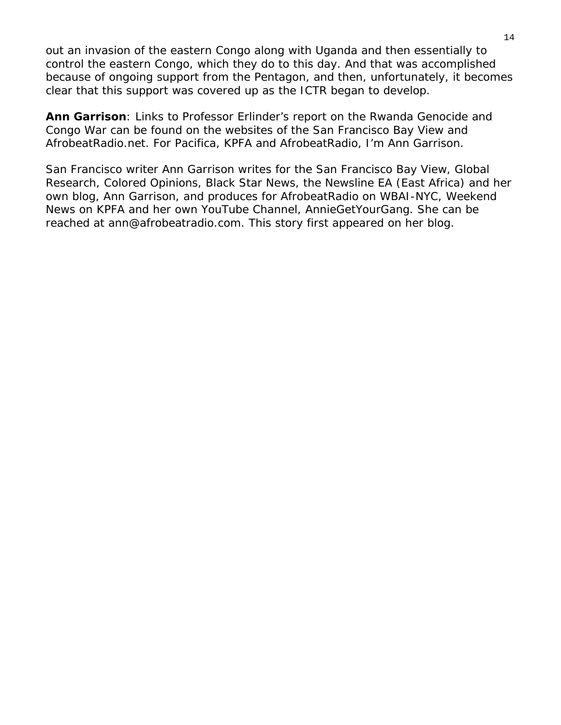out an invasion of the eastern Congo along with Uganda and then essentially to control the eastern Congo, which they do to this day. And that was accomplished because of ongoing support from the Pentagon, and then, unfortunately, it becomes clear that this support was covered up as the ICTR began to develop.

**Ann Garrison**: Links to Professor Erlinder's report on the Rwanda Genocide and Congo War can be found on the websites of the [San Francisco Bay View](http://sfbayview.com/2011/the-united-nations-ad-hoc-tribunal-for-rwanda-ictr-tpir-international-justice-or-judicially-constructed-victors-impunity/) and AfrobeatRadio.net. For Pacifica, KPFA and AfrobeatRadio, I'm Ann Garrison.

*San Francisco writer Ann Garrison writes for the [San Francisco Bay View,](http://sfbayview.com/2011/tag/ann-garrison/) [Global](http://www.globalresearch.ca/index.php?context=va&aid=14359)  [Research,](http://www.globalresearch.ca/index.php?context=va&aid=14359) [Colored Opinions,](http://coloredopinions.blogspot.com/2009/11/commonwealth-human-rights-initiative.html) [Black Star News,](http://www.blackstarnews.com/news/122/ARTICLE/6960/2010-11-27.html) the Newsline EA (East Africa) and her own blog, [Ann Garrison,](http://www.anngarrison.com/) and produces for [AfrobeatRadio](http://afrobeatradio.net/) on WBAI-NYC, [Weekend](http://www.kpfa.org/archive/show/99)  [News](http://www.kpfa.org/archive/show/99) on KPFA and her own YouTube Channel, [AnnieGetYourGang](http://www.youtube.com/user/AnnieGetYourGang). She can be reached at [ann@afrobeatradio.com](mailto:ann@afrobeatradio.com). [This story](http://anngarrison.blogspot.com/2011/04/erlinder-v-kagame-and-victors-history.html) first appeared on her blog*.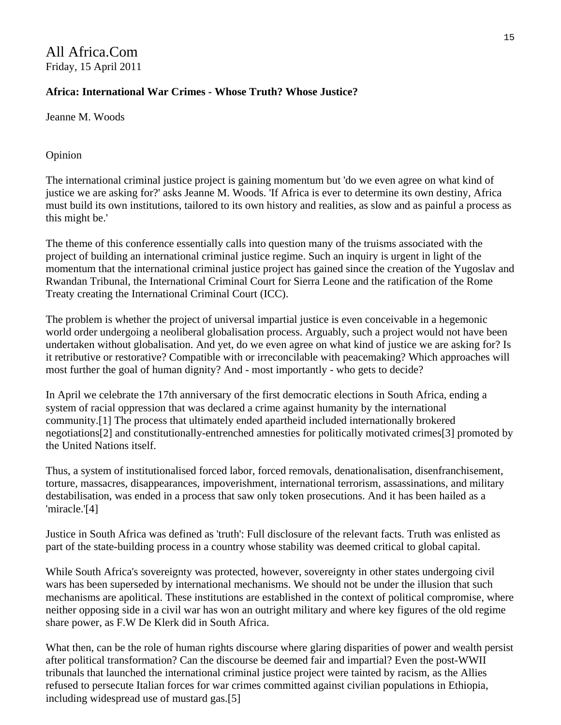# All Africa.Com Friday, 15 April 2011

## **Africa: International War Crimes - Whose Truth? Whose Justice?**

Jeanne M. Woods

#### Opinion

The international criminal justice project is gaining momentum but 'do we even agree on what kind of justice we are asking for?' asks Jeanne M. Woods. 'If Africa is ever to determine its own destiny, Africa must build its own institutions, tailored to its own history and realities, as slow and as painful a process as this might be.'

The theme of this conference essentially calls into question many of the truisms associated with the project of building an international criminal justice regime. Such an inquiry is urgent in light of the momentum that the international criminal justice project has gained since the creation of the Yugoslav and Rwandan Tribunal, the International Criminal Court for Sierra Leone and the ratification of the Rome Treaty creating the International Criminal Court (ICC).

The problem is whether the project of universal impartial justice is even conceivable in a hegemonic world order undergoing a neoliberal globalisation process. Arguably, such a project would not have been undertaken without globalisation. And yet, do we even agree on what kind of justice we are asking for? Is it retributive or restorative? Compatible with or irreconcilable with peacemaking? Which approaches will most further the goal of human dignity? And - most importantly - who gets to decide?

In April we celebrate the 17th anniversary of the first democratic elections in South Africa, ending a system of racial oppression that was declared a crime against humanity by the international community.[1] The process that ultimately ended apartheid included internationally brokered negotiations[2] and constitutionally-entrenched amnesties for politically motivated crimes[3] promoted by the United Nations itself.

Thus, a system of institutionalised forced labor, forced removals, denationalisation, disenfranchisement, torture, massacres, disappearances, impoverishment, international terrorism, assassinations, and military destabilisation, was ended in a process that saw only token prosecutions. And it has been hailed as a 'miracle.'[4]

Justice in South Africa was defined as 'truth': Full disclosure of the relevant facts. Truth was enlisted as part of the state-building process in a country whose stability was deemed critical to global capital.

While South Africa's sovereignty was protected, however, sovereignty in other states undergoing civil wars has been superseded by international mechanisms. We should not be under the illusion that such mechanisms are apolitical. These institutions are established in the context of political compromise, where neither opposing side in a civil war has won an outright military and where key figures of the old regime share power, as F.W De Klerk did in South Africa.

What then, can be the role of human rights discourse where glaring disparities of power and wealth persist after political transformation? Can the discourse be deemed fair and impartial? Even the post-WWII tribunals that launched the international criminal justice project were tainted by racism, as the Allies refused to persecute Italian forces for war crimes committed against civilian populations in Ethiopia, including widespread use of mustard gas.[5]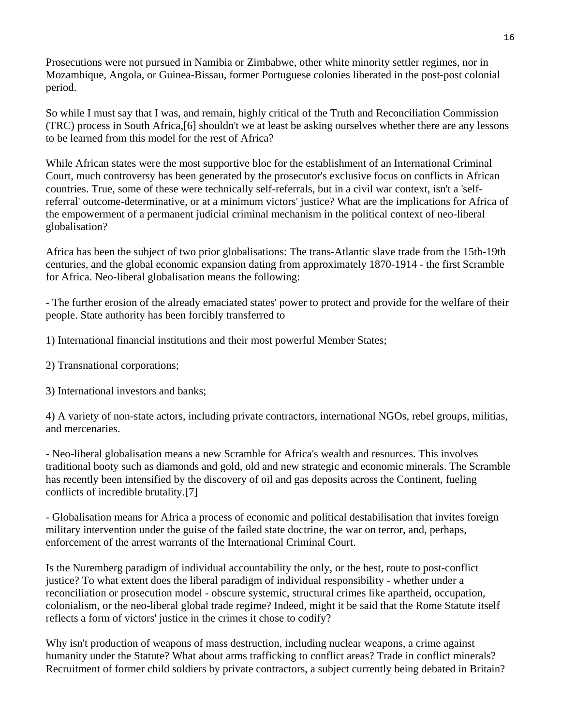Prosecutions were not pursued in Namibia or Zimbabwe, other white minority settler regimes, nor in Mozambique, Angola, or Guinea-Bissau, former Portuguese colonies liberated in the post-post colonial period.

So while I must say that I was, and remain, highly critical of the Truth and Reconciliation Commission (TRC) process in South Africa,[6] shouldn't we at least be asking ourselves whether there are any lessons to be learned from this model for the rest of Africa?

While African states were the most supportive bloc for the establishment of an International Criminal Court, much controversy has been generated by the prosecutor's exclusive focus on conflicts in African countries. True, some of these were technically self-referrals, but in a civil war context, isn't a 'selfreferral' outcome-determinative, or at a minimum victors' justice? What are the implications for Africa of the empowerment of a permanent judicial criminal mechanism in the political context of neo-liberal globalisation?

Africa has been the subject of two prior globalisations: The trans-Atlantic slave trade from the 15th-19th centuries, and the global economic expansion dating from approximately 1870-1914 - the first Scramble for Africa. Neo-liberal globalisation means the following:

- The further erosion of the already emaciated states' power to protect and provide for the welfare of their people. State authority has been forcibly transferred to

1) International financial institutions and their most powerful Member States;

2) Transnational corporations;

3) International investors and banks;

4) A variety of non-state actors, including private contractors, international NGOs, rebel groups, militias, and mercenaries.

- Neo-liberal globalisation means a new Scramble for Africa's wealth and resources. This involves traditional booty such as diamonds and gold, old and new strategic and economic minerals. The Scramble has recently been intensified by the discovery of oil and gas deposits across the Continent, fueling conflicts of incredible brutality.[7]

- Globalisation means for Africa a process of economic and political destabilisation that invites foreign military intervention under the guise of the failed state doctrine, the war on terror, and, perhaps, enforcement of the arrest warrants of the International Criminal Court.

Is the Nuremberg paradigm of individual accountability the only, or the best, route to post-conflict justice? To what extent does the liberal paradigm of individual responsibility - whether under a reconciliation or prosecution model - obscure systemic, structural crimes like apartheid, occupation, colonialism, or the neo-liberal global trade regime? Indeed, might it be said that the Rome Statute itself reflects a form of victors' justice in the crimes it chose to codify?

Why isn't production of weapons of mass destruction, including nuclear weapons, a crime against humanity under the Statute? What about arms trafficking to conflict areas? Trade in conflict minerals? Recruitment of former child soldiers by private contractors, a subject currently being debated in Britain?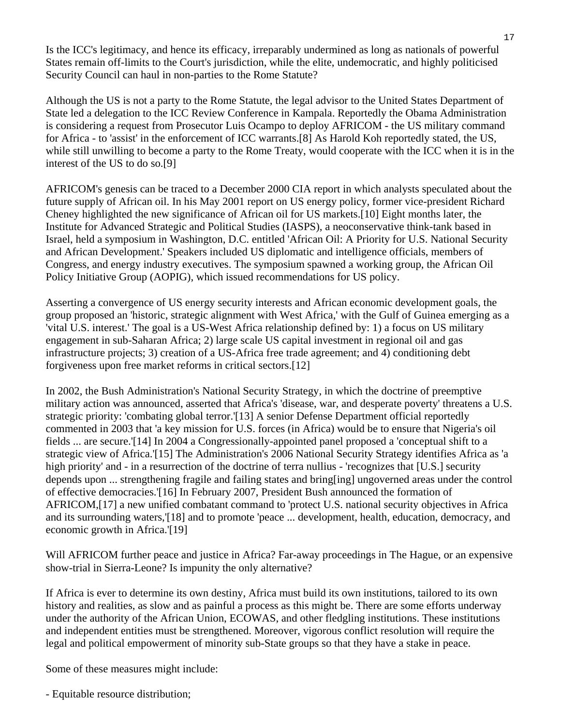Is the ICC's legitimacy, and hence its efficacy, irreparably undermined as long as nationals of powerful States remain off-limits to the Court's jurisdiction, while the elite, undemocratic, and highly politicised Security Council can haul in non-parties to the Rome Statute?

Although the US is not a party to the Rome Statute, the legal advisor to the United States Department of State led a delegation to the ICC Review Conference in Kampala. Reportedly the Obama Administration is considering a request from Prosecutor Luis Ocampo to deploy AFRICOM - the US military command for Africa - to 'assist' in the enforcement of ICC warrants.[8] As Harold Koh reportedly stated, the US, while still unwilling to become a party to the Rome Treaty, would cooperate with the ICC when it is in the interest of the US to do so.[9]

AFRICOM's genesis can be traced to a December 2000 CIA report in which analysts speculated about the future supply of African oil. In his May 2001 report on US energy policy, former vice-president Richard Cheney highlighted the new significance of African oil for US markets.[10] Eight months later, the Institute for Advanced Strategic and Political Studies (IASPS), a neoconservative think-tank based in Israel, held a symposium in Washington, D.C. entitled 'African Oil: A Priority for U.S. National Security and African Development.' Speakers included US diplomatic and intelligence officials, members of Congress, and energy industry executives. The symposium spawned a working group, the African Oil Policy Initiative Group (AOPIG), which issued recommendations for US policy.

Asserting a convergence of US energy security interests and African economic development goals, the group proposed an 'historic, strategic alignment with West Africa,' with the Gulf of Guinea emerging as a 'vital U.S. interest.' The goal is a US-West Africa relationship defined by: 1) a focus on US military engagement in sub-Saharan Africa; 2) large scale US capital investment in regional oil and gas infrastructure projects; 3) creation of a US-Africa free trade agreement; and 4) conditioning debt forgiveness upon free market reforms in critical sectors.[12]

In 2002, the Bush Administration's National Security Strategy, in which the doctrine of preemptive military action was announced, asserted that Africa's 'disease, war, and desperate poverty' threatens a U.S. strategic priority: 'combating global terror.'[13] A senior Defense Department official reportedly commented in 2003 that 'a key mission for U.S. forces (in Africa) would be to ensure that Nigeria's oil fields ... are secure.'[14] In 2004 a Congressionally-appointed panel proposed a 'conceptual shift to a strategic view of Africa.'[15] The Administration's 2006 National Security Strategy identifies Africa as 'a high priority' and - in a resurrection of the doctrine of terra nullius - 'recognizes that [U.S.] security depends upon ... strengthening fragile and failing states and bring[ing] ungoverned areas under the control of effective democracies.'[16] In February 2007, President Bush announced the formation of AFRICOM,[17] a new unified combatant command to 'protect U.S. national security objectives in Africa and its surrounding waters,'[18] and to promote 'peace ... development, health, education, democracy, and economic growth in Africa.'[19]

Will AFRICOM further peace and justice in Africa? Far-away proceedings in The Hague, or an expensive show-trial in Sierra-Leone? Is impunity the only alternative?

If Africa is ever to determine its own destiny, Africa must build its own institutions, tailored to its own history and realities, as slow and as painful a process as this might be. There are some efforts underway under the authority of the African Union, ECOWAS, and other fledgling institutions. These institutions and independent entities must be strengthened. Moreover, vigorous conflict resolution will require the legal and political empowerment of minority sub-State groups so that they have a stake in peace.

Some of these measures might include:

- Equitable resource distribution;